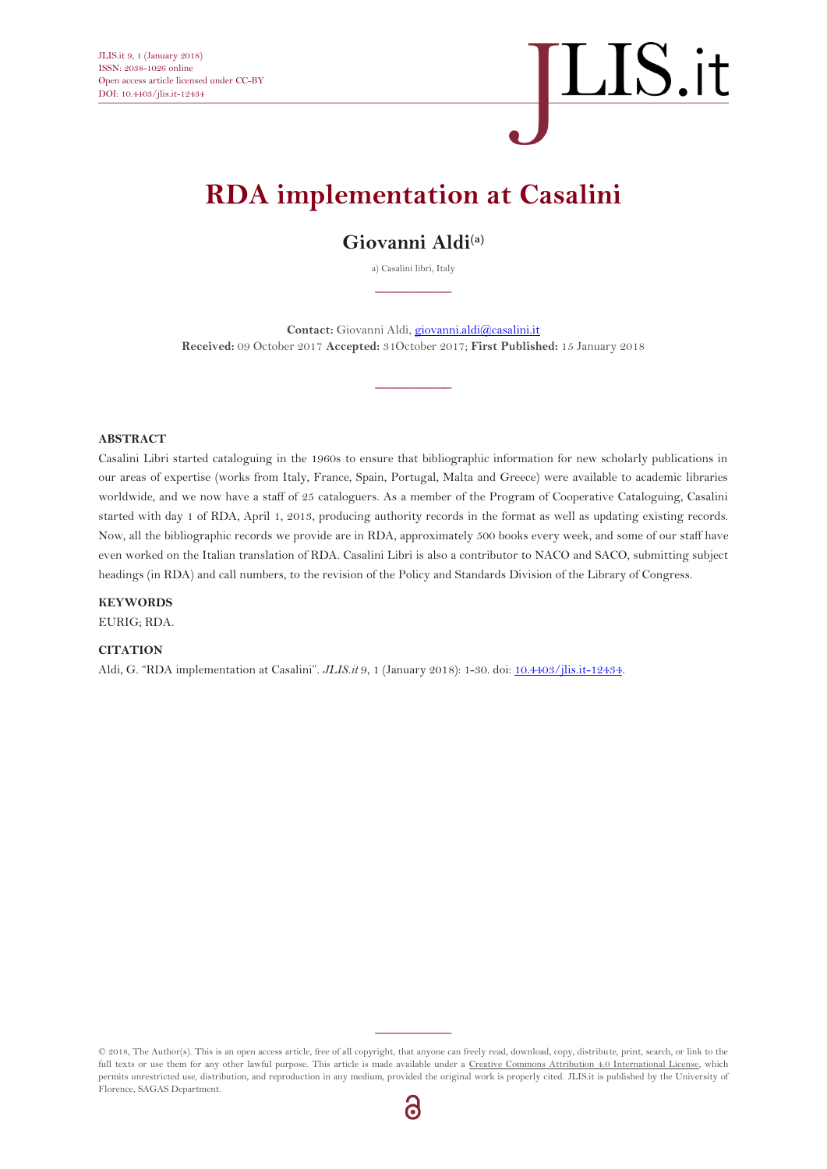## $\overline{\text{LIS}}.$ it

### **RDA implementation at Casalini**

### **Giovanni Aldi(a)**

a) Casalini libri, Italy  $\overline{\phantom{a}}$ 

Contact: Giovanni Aldi[, giovanni.aldi@casalini.it](mailto:giovanni.aldi@casalini.it) **Received:** 09 October 2017 **Accepted:** 31October 2017; **First Published:** 15 January 2018

 $\overline{\phantom{a}}$ 

#### **ABSTRACT**

Casalini Libri started cataloguing in the 1960s to ensure that bibliographic information for new scholarly publications in our areas of expertise (works from Italy, France, Spain, Portugal, Malta and Greece) were available to academic libraries worldwide, and we now have a staff of 25 cataloguers. As a member of the Program of Cooperative Cataloguing, Casalini started with day 1 of RDA, April 1, 2013, producing authority records in the format as well as updating existing records. Now, all the bibliographic records we provide are in RDA, approximately 500 books every week, and some of our staff have even worked on the Italian translation of RDA. Casalini Libri is also a contributor to NACO and SACO, submitting subject headings (in RDA) and call numbers, to the revision of the Policy and Standards Division of the Library of Congress.

#### **KEYWORDS**

EURIG; RDA.

#### **CITATION**

Aldi, G. "RDA implementation at Casalini". *JLIS.it* 9, 1 (January 2018): 1-30. doi: [10.4403/jlis.it-12434.](http://dx.doi.org/10.4403/jlis.it-12434)

© 2018, The Author(s). This is an open access article, free of all copyright, that anyone can freely read, download, copy, distribute, print, search, or link to the full texts or use them for any other lawful purpose. This article is made available under [a Creative Commons Attribution 4.0 International License,](http://creativecommons.org/licenses/by/4.0/) which permits unrestricted use, distribution, and reproduction in any medium, provided the original work is properly cited. JLIS.it is published by the University of Florence, SAGAS Department.

 $\overline{\phantom{a}}$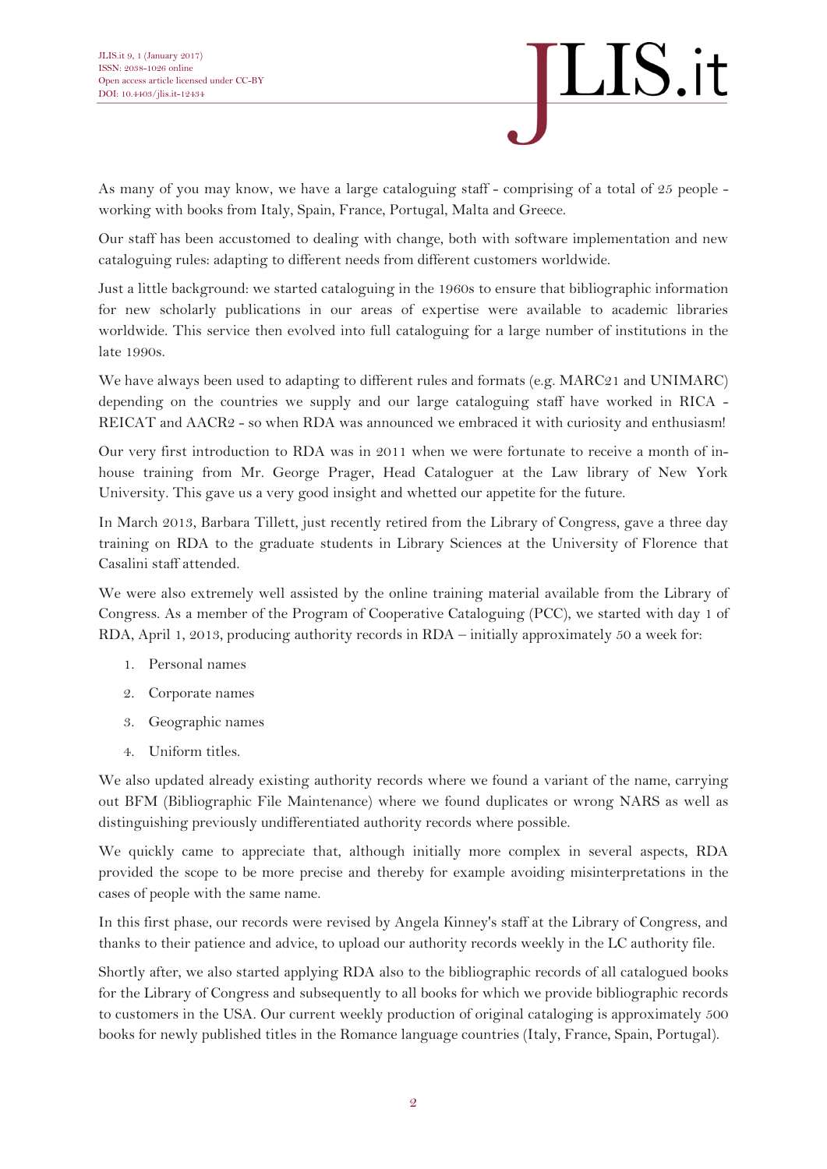

As many of you may know, we have a large cataloguing staff - comprising of a total of 25 people working with books from Italy, Spain, France, Portugal, Malta and Greece.

Our staff has been accustomed to dealing with change, both with software implementation and new cataloguing rules: adapting to different needs from different customers worldwide.

Just a little background: we started cataloguing in the 1960s to ensure that bibliographic information for new scholarly publications in our areas of expertise were available to academic libraries worldwide. This service then evolved into full cataloguing for a large number of institutions in the late 1990s.

We have always been used to adapting to different rules and formats (e.g. MARC21 and UNIMARC) depending on the countries we supply and our large cataloguing staff have worked in RICA - REICAT and AACR2 - so when RDA was announced we embraced it with curiosity and enthusiasm!

Our very first introduction to RDA was in 2011 when we were fortunate to receive a month of inhouse training from Mr. George Prager, Head Cataloguer at the Law library of New York University. This gave us a very good insight and whetted our appetite for the future.

In March 2013, Barbara Tillett, just recently retired from the Library of Congress, gave a three day training on RDA to the graduate students in Library Sciences at the University of Florence that Casalini staff attended.

We were also extremely well assisted by the online training material available from the Library of Congress. As a member of the Program of Cooperative Cataloguing (PCC), we started with day 1 of RDA, April 1, 2013, producing authority records in RDA – initially approximately 50 a week for:

- 1. Personal names
- 2. Corporate names
- 3. Geographic names
- 4. Uniform titles.

We also updated already existing authority records where we found a variant of the name, carrying out BFM (Bibliographic File Maintenance) where we found duplicates or wrong NARS as well as distinguishing previously undifferentiated authority records where possible.

We quickly came to appreciate that, although initially more complex in several aspects, RDA provided the scope to be more precise and thereby for example avoiding misinterpretations in the cases of people with the same name.

In this first phase, our records were revised by Angela Kinney's staff at the Library of Congress, and thanks to their patience and advice, to upload our authority records weekly in the LC authority file.

Shortly after, we also started applying RDA also to the bibliographic records of all catalogued books for the Library of Congress and subsequently to all books for which we provide bibliographic records to customers in the USA. Our current weekly production of original cataloging is approximately 500 books for newly published titles in the Romance language countries (Italy, France, Spain, Portugal).